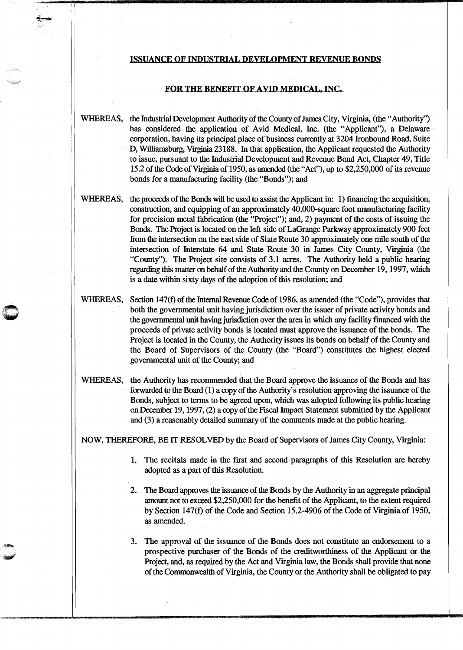## ISSUANCE OF INDUSTRIAL DEVELOPMENT REVENUE BONDS

I!

.·~.

## FOR THE BENEFIT OF AYID MEDICAL, INC.

- WHEREAS, the Industrial Development Authority of the County of James City, Virginia, (the "Authority") has considered the application of Avid Medical, Inc. (the "Applicant"), a Delaware corporation, having its principal place of business currently at 3204 Ironbound Road, Suite D, Williamsburg, Virginia 23188. fu that application, the Applicant requested the Authority to issue, pursuant to the fudustrial Development and Revenue Bond Act, Chapter 49, Title 15.2oftheCodeofVirginiaof1950, as amended (the "Act"), up to \$2,250,000 of its revenue bonds for a manufacturing facility (the "Bonds"); and
- WHEREAS, the proceeds of the Bonds will be used to assist the Applicant in: 1) financing the acquisition, construction, and equipping of an approximately 40,000-square foot manufacturing facility for precision metal fabrication (the "Project"); and, 2) payment of the costs of issuing the Bonds. The Project is located on the left side of LaGrange Parkway approximately 900 feet from the intersection on the east side of State Route 30 approximately one mile south of the intersection of Interstate 64 and State Route 30 in James City County, Virginia (the "County"). The Project site consists of 3.1 acres. The Authority held a public hearing regarding this matter on behalf of the Authority and the County on December 19, 1997, which is a date within sixty days of the adoption of this resolution; and
- WHEREAS, Section 147(f) of the Internal Revenue Code of 1986, as amended (the "Code"), provides that both the governmental unit having jurisdiction over the issuer of private activity bonds and the governmental unit having jurisdiction over the area in which any facility fmanced with the proceeds of private activity bonds is located must approve the issuance of the bonds. The Project is located in the County, the Authority issues its bonds on behalf of the County and the Board of Supervisors of the County (the "Board") constitutes the highest elected governmental unit of the County; and
- WHEREAS, the Authority has recommended that the Board approve the issuance of the Bonds and has forwarded to the Board (1) a copy of the Authority's resolution approving the issuance of the Bonds, subject to terms to be agreed upon, which was adopted following its public hearing on December 19, 1997, (2) a copy of the Fiscal Impact Statement submitted by the Applicant and (3) a reasonably detailed summary of the comments made at the public hearing.

NOW, THEREFORE, BE IT RESOLVED by the Board of Supervisors of James City County, Virginia:

- 1. The recitals made in the first and second paragraphs of this Resolution are hereby adopted as a part of this Resolution.
- 2. The Board approves the issuance of the Bonds by the Authority in an aggregate principal amount not to exceed \$2,250,000 for the benefit of the Applicant, to the extent required by Section 147(f) of the Code and Section 15.2-4906 of the Code of Virginia of 1950, as amended.
- 3. The approval of the issuance of the Bonds does not constitute an endorsement to a prospective purchaser of the Bonds of the creditworthiness of the Applicant or the Project, and, as required by the Act and Virginia law, the Bonds shall provide that none of the Commonwealth of Virginia, the County or the Authority shall be obligated to pay